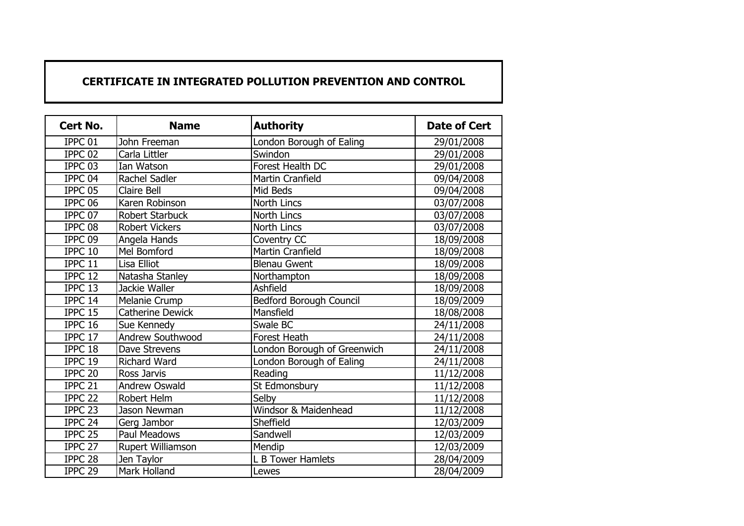## **CERTIFICATE IN INTEGRATED POLLUTION PREVENTION AND CONTROL**

| Cert No.             | <b>Name</b>             | <b>Authority</b>            | <b>Date of Cert</b> |
|----------------------|-------------------------|-----------------------------|---------------------|
| IPPC <sub>01</sub>   | John Freeman            | London Borough of Ealing    | 29/01/2008          |
| IPPC <sub>02</sub>   | Carla Littler           | Swindon                     | 29/01/2008          |
| IPPC <sub>03</sub>   | Ian Watson              | Forest Health DC            | 29/01/2008          |
| IPPC <sub>04</sub>   | Rachel Sadler           | <b>Martin Cranfield</b>     | 09/04/2008          |
| IPPC 05              | Claire Bell             | Mid Beds                    | 09/04/2008          |
| IPPC <sub>06</sub>   | Karen Robinson          | <b>North Lincs</b>          | 03/07/2008          |
| IPPC 07              | <b>Robert Starbuck</b>  | North Lincs                 | 03/07/2008          |
| IPPC 08              | <b>Robert Vickers</b>   | North Lincs                 | 03/07/2008          |
| IPPC <sub>09</sub>   | Angela Hands            | Coventry CC                 | 18/09/2008          |
| IPPC 10              | Mel Bomford             | <b>Martin Cranfield</b>     | 18/09/2008          |
| IPPC 11              | Lisa Elliot             | <b>Blenau Gwent</b>         | 18/09/2008          |
| IPPC 12              | Natasha Stanley         | Northampton                 | 18/09/2008          |
| IPPC 13              | Jackie Waller           | Ashfield                    | 18/09/2008          |
| IPPC 14              | Melanie Crump           | Bedford Borough Council     | 18/09/2009          |
| IPPC 15              | <b>Catherine Dewick</b> | Mansfield                   | 18/08/2008          |
| IPPC 16              | Sue Kennedy             | Swale BC                    | 24/11/2008          |
| IPPC 17              | Andrew Southwood        | Forest Heath                | 24/11/2008          |
| IPPC 18              | Dave Strevens           | London Borough of Greenwich | 24/11/2008          |
| IPPC 19              | <b>Richard Ward</b>     | London Borough of Ealing    | 24/11/2008          |
| IPPC <sub>20</sub>   | Ross Jarvis             | Reading                     | 11/12/2008          |
| IPPC <sub>21</sub>   | <b>Andrew Oswald</b>    | St Edmonsbury               | 11/12/2008          |
| IPPC <sub>22</sub>   | Robert Helm             | Selby                       | 11/12/2008          |
| $\overline{IPPC}$ 23 | Jason Newman            | Windsor & Maidenhead        | 11/12/2008          |
| IPPC <sub>24</sub>   | Gerg Jambor             | Sheffield                   | 12/03/2009          |
| IPPC <sub>25</sub>   | Paul Meadows            | Sandwell                    | 12/03/2009          |
| IPPC <sub>27</sub>   | Rupert Williamson       | Mendip                      | 12/03/2009          |
| IPPC <sub>28</sub>   | Jen Taylor              | L B Tower Hamlets           | 28/04/2009          |
| IPPC <sub>29</sub>   | Mark Holland            | Lewes                       | 28/04/2009          |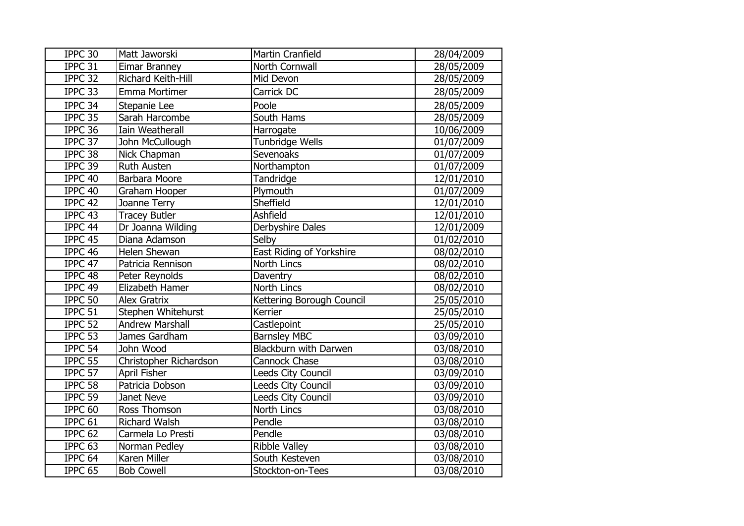| IPPC 30            | Matt Jaworski          | Martin Cranfield                | 28/04/2009 |
|--------------------|------------------------|---------------------------------|------------|
| IPPC 31            | Eimar Branney          | North Cornwall                  | 28/05/2009 |
| IPPC 32            | Richard Keith-Hill     | Mid Devon                       | 28/05/2009 |
| IPPC 33            | Emma Mortimer          | Carrick DC                      | 28/05/2009 |
| IPPC 34            | Stepanie Lee           | Poole                           | 28/05/2009 |
| IPPC 35            | Sarah Harcombe         | South Hams                      | 28/05/2009 |
| IPPC 36            | Iain Weatherall        | Harrogate                       | 10/06/2009 |
| IPPC 37            | John McCullough        | <b>Tunbridge Wells</b>          | 01/07/2009 |
| IPPC 38            | Nick Chapman           | Sevenoaks                       | 01/07/2009 |
| IPPC 39            | <b>Ruth Austen</b>     | Northampton                     | 01/07/2009 |
| IPPC 40            | Barbara Moore          | Tandridge                       | 12/01/2010 |
| IPPC 40            | Graham Hooper          | Plymouth                        | 01/07/2009 |
| IPPC 42            | Joanne Terry           | Sheffield                       | 12/01/2010 |
| IPPC 43            | <b>Tracey Butler</b>   | Ashfield                        | 12/01/2010 |
| IPPC 44            | Dr Joanna Wilding      | Derbyshire Dales                | 12/01/2009 |
| IPPC <sub>45</sub> | Diana Adamson          | Selby                           | 01/02/2010 |
| IPPC 46            | Helen Shewan           | <b>East Riding of Yorkshire</b> | 08/02/2010 |
| IPPC 47            | Patricia Rennison      | North Lincs                     | 08/02/2010 |
| IPPC 48            | Peter Reynolds         | Daventry                        | 08/02/2010 |
| IPPC 49            | Elizabeth Hamer        | North Lincs                     | 08/02/2010 |
| IPPC 50            | <b>Alex Gratrix</b>    | Kettering Borough Council       | 25/05/2010 |
| IPPC 51            | Stephen Whitehurst     | Kerrier                         | 25/05/2010 |
| IPPC 52            | <b>Andrew Marshall</b> | Castlepoint                     | 25/05/2010 |
| IPPC 53            | James Gardham          | <b>Barnsley MBC</b>             | 03/09/2010 |
| IPPC 54            | John Wood              | Blackburn with Darwen           | 03/08/2010 |
| IPPC 55            | Christopher Richardson | Cannock Chase                   | 03/08/2010 |
| IPPC 57            | <b>April Fisher</b>    | Leeds City Council              | 03/09/2010 |
| IPPC 58            | Patricia Dobson        | Leeds City Council              | 03/09/2010 |
| IPPC 59            | Janet Neve             | Leeds City Council              | 03/09/2010 |
| IPPC <sub>60</sub> | Ross Thomson           | North Lincs                     | 03/08/2010 |
| IPPC 61            | <b>Richard Walsh</b>   | Pendle                          | 03/08/2010 |
| IPPC <sub>62</sub> | Carmela Lo Presti      | Pendle                          | 03/08/2010 |
| IPPC <sub>63</sub> | Norman Pedley          | <b>Ribble Valley</b>            | 03/08/2010 |
| IPPC 64            | Karen Miller           | South Kesteven                  | 03/08/2010 |
| IPPC <sub>65</sub> | <b>Bob Cowell</b>      | Stockton-on-Tees                | 03/08/2010 |